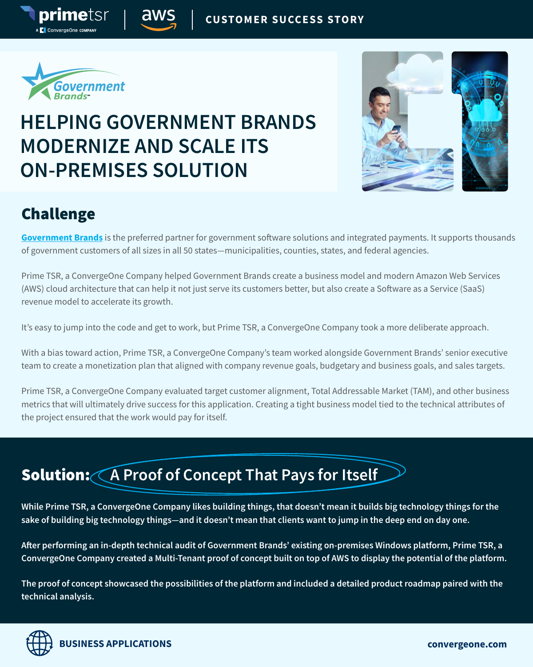

primetsr

**C** ConvergeOne com

## **HELPING GOVERNMENT BRANDS MODERNIZE AND SCALE ITS ON-PREMISES SOLUTION**



#### Challenge

**[Government Brands](https://www.governmentbrands.com/)** is the preferred partner for government software solutions and integrated payments. It supports thousands of government customers of all sizes in all 50 states—municipalities, counties, states, and federal agencies.

Prime TSR, a ConvergeOne Company helped Government Brands create a business model and modern Amazon Web Services (AWS) cloud architecture that can help it not just serve its customers better, but also create a Software as a Service (SaaS) revenue model to accelerate its growth.

It's easy to jump into the code and get to work, but Prime TSR, a ConvergeOne Company took a more deliberate approach.

With a bias toward action, Prime TSR, a ConvergeOne Company's team worked alongside Government Brands' senior executive team to create a monetization plan that aligned with company revenue goals, budgetary and business goals, and sales targets.

Prime TSR, a ConvergeOne Company evaluated target customer alignment, Total Addressable Market (TAM), and other business metrics that will ultimately drive success for this application. Creating a tight business model tied to the technical attributes of the project ensured that the work would pay for itself.

### **Solution: A Proof of Concept That Pays for Itself**

**While Prime TSR, a ConvergeOne Company likes building things, that doesn't mean it builds big technology things for the sake of building big technology things—and it doesn't mean that clients want to jump in the deep end on day one.**

**After performing an in-depth technical audit of Government Brands' existing on-premises Windows platform, Prime TSR, a ConvergeOne Company created a Multi-Tenant proof of concept built on top of AWS to display the potential of the platform.** 

**The proof of concept showcased the possibilities of the platform and included a detailed product roadmap paired with the technical analysis.**